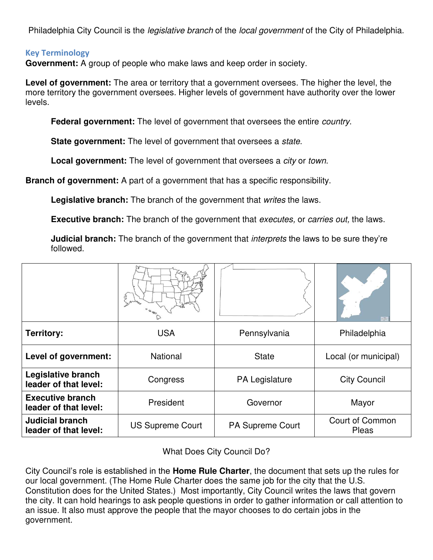Philadelphia City Council is the *legislative branch* of the *local government* of the City of Philadelphia.

## **Key Terminology**

**Government:** A group of people who make laws and keep order in society.

**Level of government:** The area or territory that a government oversees. The higher the level, the more territory the government oversees. Higher levels of government have authority over the lower levels.

**Federal government:** The level of government that oversees the entire *country*.

**State government:** The level of government that oversees a *state*.

**Local government:** The level of government that oversees a *city* or *town*.

**Branch of government:** A part of a government that has a specific responsibility.

**Legislative branch:** The branch of the government that *writes* the laws.

**Executive branch:** The branch of the government that *executes,* or *carries out,* the laws.

**Judicial branch:** The branch of the government that *interprets* the laws to be sure they're followed.

|                                                  | ξ                       |                         | $\frac{446}{11}$                |
|--------------------------------------------------|-------------------------|-------------------------|---------------------------------|
| <b>Territory:</b>                                | <b>USA</b>              | Pennsylvania            | Philadelphia                    |
| Level of government:                             | <b>National</b>         | <b>State</b>            | Local (or municipal)            |
| Legislative branch<br>leader of that level:      | Congress                | PA Legislature          | <b>City Council</b>             |
| <b>Executive branch</b><br>leader of that level: | President               | Governor                | Mayor                           |
| <b>Judicial branch</b><br>leader of that level:  | <b>US Supreme Court</b> | <b>PA Supreme Court</b> | <b>Court of Common</b><br>Pleas |

What Does City Council Do?

City Council's role is established in the **Home Rule Charter**, the document that sets up the rules for our local government. (The Home Rule Charter does the same job for the city that the U.S. Constitution does for the United States.) Most importantly, City Council writes the laws that govern the city. It can hold hearings to ask people questions in order to gather information or call attention to an issue. It also must approve the people that the mayor chooses to do certain jobs in the government.